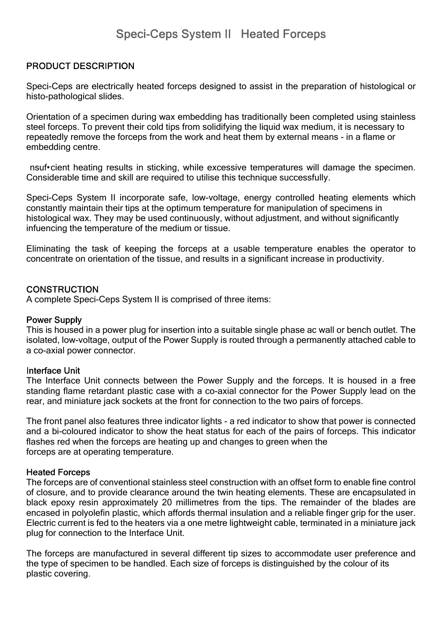# **PRODUCT DESCRIPTION**

Speci-Ceps are electrically heated forceps designed to assist in the preparation of histological or histo-pathological slides.

Orientation of a specimen during wax embedding has traditionally been completed using stainless steel forceps. To prevent their cold tips from solidifying the liquid wax medium, it is necessary to repeatedly remove the forceps from the work and heat them by external means - in a flame or embedding centre.

 nsuf•cient heating results in sticking, while excessive temperatures will damage the specimen. Considerable time and skill are required to utilise this technique successfully.

Speci-Ceps System II incorporate safe, low-voltage, energy controlled heating elements which constantly maintain their tips at the optimum temperature for manipulation of specimens in histological wax. They may be used continuously, without adjustment, and without significantly infuencing the temperature of the medium or tissue.

Eliminating the task of keeping the forceps at a usable temperature enables the operator to concentrate on orientation of the tissue, and results in a significant increase in productivity.

### **CONSTRUCTION**

A complete Speci-Ceps System II is comprised of three items:

#### **Power Supply**

This is housed in a power plug for insertion into a suitable single phase ac wall or bench outlet. The isolated, low-voltage, output of the Power Supply is routed through a permanently attached cable to a co-axial power connector.

#### **Interface Unit**

The Interface Unit connects between the Power Supply and the forceps. It is housed in a free standing flame retardant plastic case with a co-axial connector for the Power Supply lead on the rear, and miniature jack sockets at the front for connection to the two pairs of forceps.

The front panel also features three indicator lights - a red indicator to show that power is connected and a bi-coloured indicator to show the heat status for each of the pairs of forceps. This indicator flashes red when the forceps are heating up and changes to green when the forceps are at operating temperature.

#### **Heated Forceps**

The forceps are of conventional stainless steel construction with an offset form to enable fine control of closure, and to provide clearance around the twin heating elements. These are encapsulated in black epoxy resin approximately 20 millimetres from the tips. The remainder of the blades are encased in polyolefin plastic, which affords thermal insulation and a reliable finger grip for the user. Electric current is fed to the heaters via a one metre lightweight cable, terminated in a miniature jack plug for connection to the Interface Unit.

The forceps are manufactured in several different tip sizes to accommodate user preference and the type of specimen to be handled. Each size of forceps is distinguished by the colour of its plastic covering.